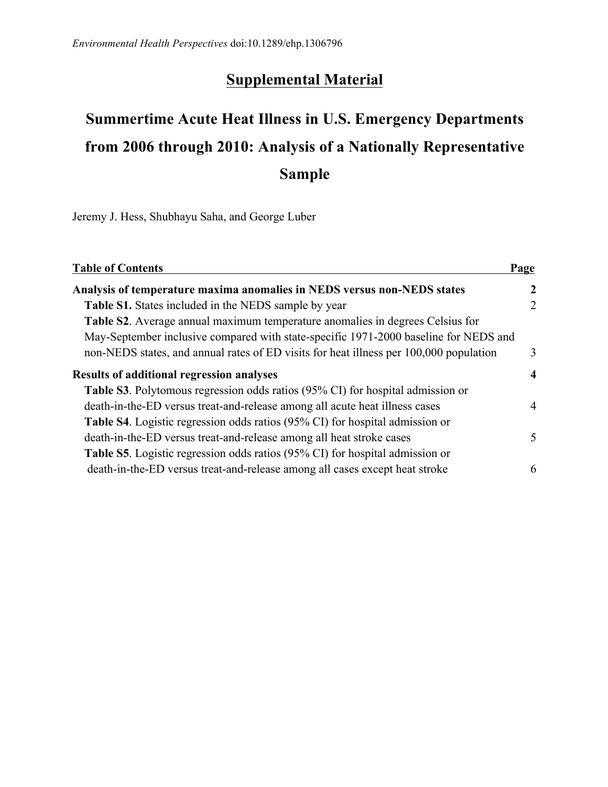## **Supplemental Material**

## **Summertime Acute Heat Illness in U.S. Emergency Departments from 2006 through 2010: Analysis of a Nationally Representative Sample**

Jeremy J. Hess, Shubhayu Saha, and George Luber

| <b>Table of Contents</b>                                                               | Page             |
|----------------------------------------------------------------------------------------|------------------|
| Analysis of temperature maxima anomalies in NEDS versus non-NEDS states                | $\mathcal{L}$    |
| <b>Table S1.</b> States included in the NEDS sample by year                            | 2                |
| Table S2. Average annual maximum temperature anomalies in degrees Celsius for          |                  |
| May-September inclusive compared with state-specific 1971-2000 baseline for NEDS and   |                  |
| non-NEDS states, and annual rates of ED visits for heat illness per 100,000 population | 3                |
| <b>Results of additional regression analyses</b>                                       | $\boldsymbol{4}$ |
| Table S3. Polytomous regression odds ratios (95% CI) for hospital admission or         |                  |
| death-in-the-ED versus treat-and-release among all acute heat illness cases            | 4                |
| <b>Table S4</b> . Logistic regression odds ratios (95% CI) for hospital admission or   |                  |
| death-in-the-ED versus treat-and-release among all heat stroke cases                   | $\mathcal{F}$    |
| <b>Table S5</b> . Logistic regression odds ratios (95% CI) for hospital admission or   |                  |
| death-in-the-ED versus treat-and-release among all cases except heat stroke            | 6                |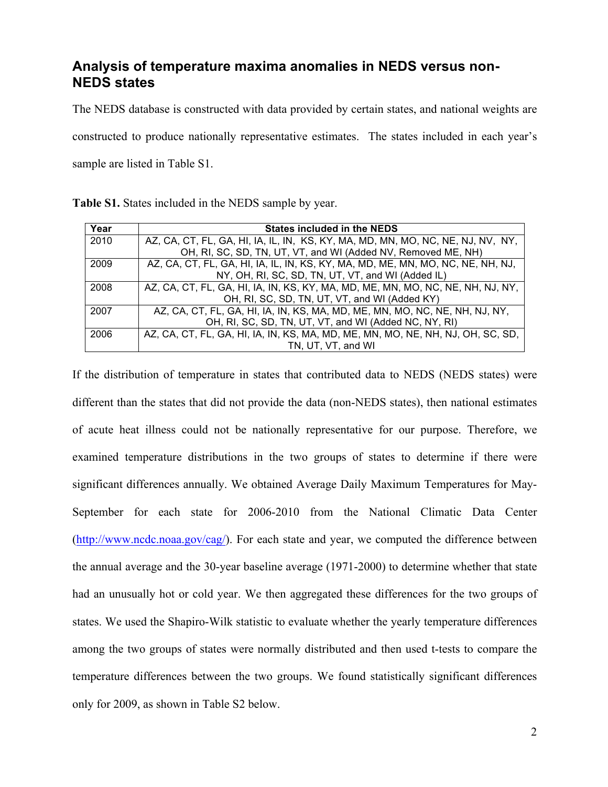## **Analysis of temperature maxima anomalies in NEDS versus non-NEDS states**

 The NEDS database is constructed with data provided by certain states, and national weights are constructed to produce nationally representative estimates. The states included in each year's sample are listed in Table S1.

| Table S1. States included in the NEDS sample by year. |  |  |  |  |  |  |
|-------------------------------------------------------|--|--|--|--|--|--|
|-------------------------------------------------------|--|--|--|--|--|--|

| Year | <b>States included in the NEDS</b>                                              |
|------|---------------------------------------------------------------------------------|
| 2010 | AZ, CA, CT, FL, GA, HI, IA, IL, IN, KS, KY, MA, MD, MN, MO, NC, NE, NJ, NV, NY, |
|      | OH, RI, SC, SD, TN, UT, VT, and WI (Added NV, Removed ME, NH)                   |
| 2009 | AZ, CA, CT, FL, GA, HI, IA, IL, IN, KS, KY, MA, MD, ME, MN, MO, NC, NE, NH, NJ, |
|      | NY, OH, RI, SC, SD, TN, UT, VT, and WI (Added IL)                               |
| 2008 | AZ, CA, CT, FL, GA, HI, IA, IN, KS, KY, MA, MD, ME, MN, MO, NC, NE, NH, NJ, NY, |
|      | OH, RI, SC, SD, TN, UT, VT, and WI (Added KY)                                   |
| 2007 | AZ, CA, CT, FL, GA, HI, IA, IN, KS, MA, MD, ME, MN, MO, NC, NE, NH, NJ, NY,     |
|      | OH, RI, SC, SD, TN, UT, VT, and WI (Added NC, NY, RI)                           |
| 2006 | AZ, CA, CT, FL, GA, HI, IA, IN, KS, MA, MD, ME, MN, MO, NE, NH, NJ, OH, SC, SD, |
|      | TN, UT, VT, and WI                                                              |

 If the distribution of temperature in states that contributed data to NEDS (NEDS states) were different than the states that did not provide the data (non-NEDS states), then national estimates of acute heat illness could not be nationally representative for our purpose. Therefore, we examined temperature distributions in the two groups of states to determine if there were significant differences annually. We obtained Average Daily Maximum Temperatures for May- September for each state for 2006-2010 from the National Climatic Data Center (http://www.ncdc.noaa.gov/cag/). For each state and year, we computed the difference between the annual average and the 30-year baseline average (1971-2000) to determine whether that state had an unusually hot or cold year. We then aggregated these differences for the two groups of states. We used the Shapiro-Wilk statistic to evaluate whether the yearly temperature differences among the two groups of states were normally distributed and then used t-tests to compare the temperature differences between the two groups. We found statistically significant differences only for 2009, as shown in Table S2 below.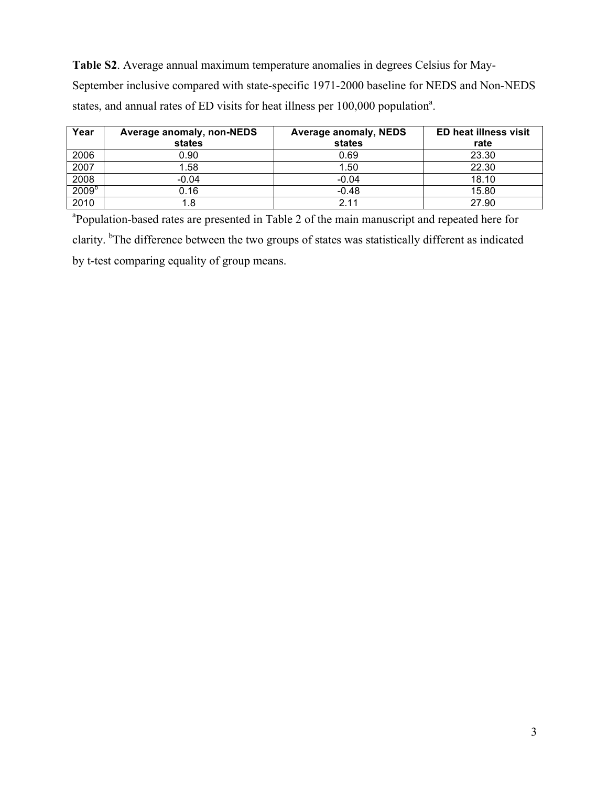**Table S2**. Average annual maximum temperature anomalies in degrees Celsius for May-September inclusive compared with state-specific 1971-2000 baseline for NEDS and Non-NEDS states, and annual rates of ED visits for heat illness per  $100,000$  population<sup>a</sup>.

| Year              | Average anomaly, non-NEDS<br>states | <b>Average anomaly, NEDS</b><br>states | <b>ED heat illness visit</b><br>rate |
|-------------------|-------------------------------------|----------------------------------------|--------------------------------------|
| 2006              | 0.90                                | 0.69                                   | 23.30                                |
| 2007              | 1.58                                | 1.50                                   | 22.30                                |
| 2008              | $-0.04$                             | $-0.04$                                | 18.10                                |
| 2009 <sup>b</sup> | 0.16                                | $-0.48$                                | 15.80                                |
| 2010              | .8                                  | 2.11                                   | 27.90                                |

clarity. <sup>b</sup>The difference between the two groups of states was statistically different as indicated <sup>a</sup>Population-based rates are presented in Table 2 of the main manuscript and repeated here for by t-test comparing equality of group means.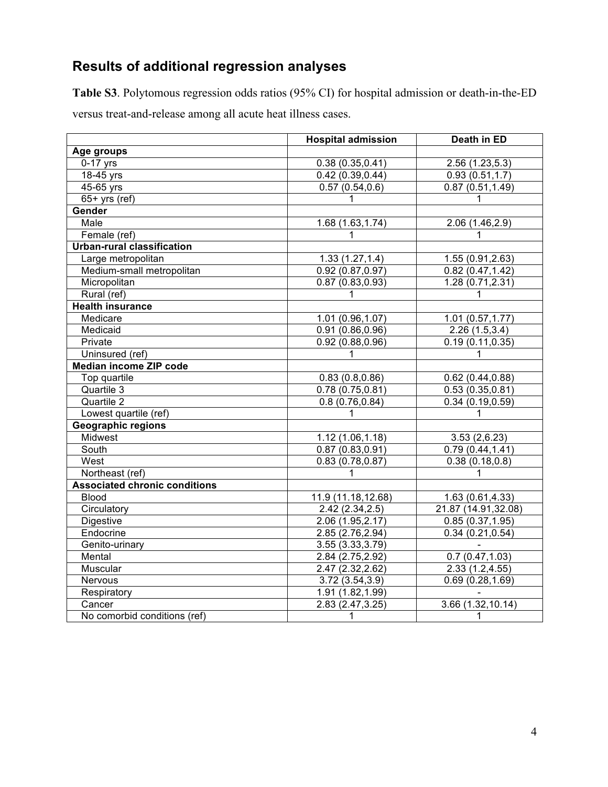## **Results of additional regression analyses**

**Table S3**. Polytomous regression odds ratios (95% CI) for hospital admission or death-in-the-ED versus treat-and-release among all acute heat illness cases.

|                                      | <b>Hospital admission</b> | Death in ED         |
|--------------------------------------|---------------------------|---------------------|
| Age groups                           |                           |                     |
| $0-17$ yrs                           | 0.38(0.35, 0.41)          | 2.56(1.23, 5.3)     |
| 18-45 yrs                            | 0.42(0.39, 0.44)          | 0.93(0.51, 1.7)     |
| $45-65$ yrs                          | 0.57(0.54, 0.6)           | 0.87(0.51, 1.49)    |
| $65+$ yrs (ref)                      | 1                         | 1                   |
| Gender                               |                           |                     |
| Male                                 | 1.68 (1.63, 1.74)         | 2.06 (1.46,2.9)     |
| Female (ref)                         | $\mathbf{1}$              | $\mathbf{1}$        |
| <b>Urban-rural classification</b>    |                           |                     |
| Large metropolitan                   | 1.33(1.27, 1.4)           | 1.55 (0.91,2.63)    |
| Medium-small metropolitan            | 0.92(0.87, 0.97)          | 0.82(0.47, 1.42)    |
| Micropolitan                         | 0.87(0.83, 0.93)          | 1.28 (0.71,2.31)    |
| Rural (ref)                          | 1                         | 1                   |
| <b>Health insurance</b>              |                           |                     |
| Medicare                             | 1.01 (0.96,1.07)          | 1.01(0.57, 1.77)    |
| Medicaid                             | 0.91(0.86, 0.96)          | 2.26(1.5,3.4)       |
| Private                              | 0.92(0.88, 0.96)          | 0.19(0.11, 0.35)    |
| Uninsured (ref)                      | 1                         | 1                   |
| Median income ZIP code               |                           |                     |
| Top quartile                         | 0.83(0.8, 0.86)           | 0.62(0.44, 0.88)    |
| Quartile 3                           | 0.78(0.75, 0.81)          | 0.53(0.35, 0.81)    |
| Quartile 2                           | 0.8(0.76, 0.84)           | 0.34(0.19, 0.59)    |
| Lowest quartile (ref)                | 1                         | 1                   |
| <b>Geographic regions</b>            |                           |                     |
| Midwest                              | 1.12 (1.06,1.18)          | 3.53(2,6.23)        |
| South                                | 0.87(0.83, 0.91)          | 0.79(0.44, 1.41)    |
| West                                 | 0.83(0.78, 0.87)          | 0.38(0.18, 0.8)     |
| Northeast (ref)                      | 1                         | 1                   |
| <b>Associated chronic conditions</b> |                           |                     |
| <b>Blood</b>                         | 11.9 (11.18,12.68)        | 1.63 (0.61,4.33)    |
| Circulatory                          | 2.42(2.34, 2.5)           | 21.87 (14.91,32.08) |
| Digestive                            | 2.06 (1.95,2.17)          | 0.85(0.37, 1.95)    |
| Endocrine                            | 2.85 (2.76, 2.94)         | 0.34(0.21, 0.54)    |
| Genito-urinary                       | 3.55 (3.33,3.79)          |                     |
| Mental                               | 2.84 (2.75,2.92)          | 0.7(0.47, 1.03)     |
| Muscular                             | 2.47 (2.32, 2.62)         | 2.33(1.2, 4.55)     |
| Nervous                              | 3.72(3.54, 3.9)           | 0.69(0.28, 1.69)    |
| Respiratory                          | 1.91 (1.82,1.99)          |                     |
| Cancer                               | 2.83 (2.47, 3.25)         | 3.66(1.32, 10.14)   |
| No comorbid conditions (ref)         | $\mathbf{1}$              | $\mathbf{1}$        |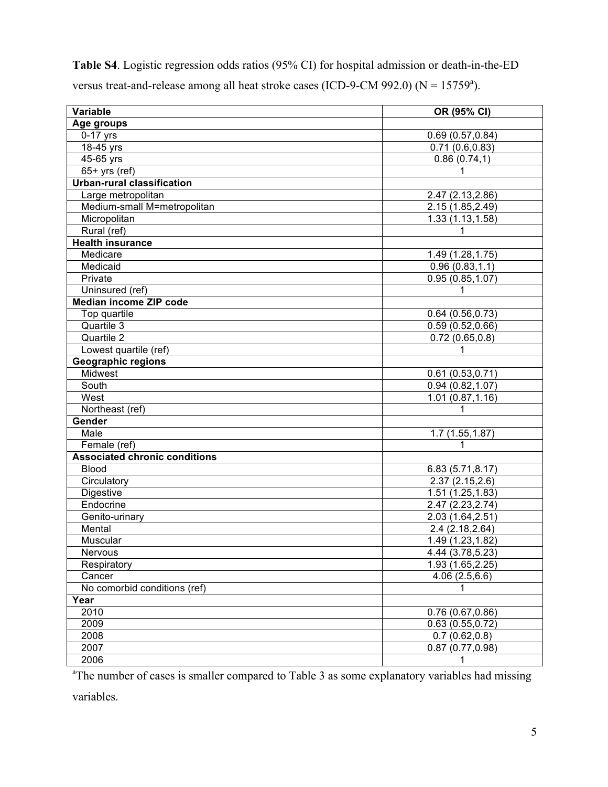| <b>Table S4.</b> Logistic regression odds ratios (95% CI) for hospital admission or death-in-the-ED |  |
|-----------------------------------------------------------------------------------------------------|--|
| versus treat-and-release among all heat stroke cases (ICD-9-CM 992.0) ( $N = 15759^a$ ).            |  |

| Variable                             | OR (95% CI)                   |
|--------------------------------------|-------------------------------|
| Age groups                           |                               |
| $0-17$ yrs                           | 0.69(0.57, 0.84)              |
| $18-45$ yrs                          | 0.71(0.6, 0.83)               |
| 45-65 yrs                            | 0.86(0.74,1)                  |
| $65+$ yrs (ref)                      | 1                             |
| <b>Urban-rural classification</b>    |                               |
| Large metropolitan                   | 2.47 (2.13,2.86)              |
| Medium-small M=metropolitan          | 2.15 (1.85,2.49)              |
| Micropolitan                         | 1.33 (1.13, 1.58)             |
| Rural (ref)                          | $\mathbf{1}$                  |
| <b>Health insurance</b>              |                               |
| Medicare                             | 1.49 (1.28, 1.75)             |
| Medicaid                             | 0.96(0.83, 1.1)               |
| Private                              | 0.95(0.85, 1.07)              |
| Uninsured (ref)                      | 1                             |
| <b>Median income ZIP code</b>        |                               |
| Top quartile                         | 0.64(0.56, 0.73)              |
| Quartile 3                           | 0.59(0.52, 0.66)              |
| Quartile 2                           | 0.72(0.65, 0.8)               |
| Lowest quartile (ref)                | 1                             |
| <b>Geographic regions</b>            |                               |
| Midwest                              | 0.61(0.53, 0.71)              |
| South                                | 0.94(0.82, 1.07)              |
| West                                 | 1.01(0.87, 1.16)              |
| Northeast (ref)                      | 1                             |
| <b>Gender</b>                        |                               |
| Male                                 | 1.7(1.55, 1.87)               |
| Female (ref)                         | 1                             |
| <b>Associated chronic conditions</b> |                               |
| <b>Blood</b>                         | 6.83(5.71, 8.17)              |
| Circulatory                          | 2.37(2.15, 2.6)               |
| Digestive                            | 1.51 (1.25,1.83)              |
| Endocrine                            | 2.47 (2.23, 2.74)             |
| Genito-urinary                       | 2.03 (1.64, 2.51)             |
| Mental                               | 2.4 (2.18,2.64)               |
| Muscular                             | 1.49 (1.23, 1.82)             |
| <b>Nervous</b>                       | 4.44 (3.78,5.23)              |
| Respiratory                          | 1.93 (1.65,2.25)              |
| Cancer                               | 4.06(2.5,6.6)                 |
| No comorbid conditions (ref)         | 1                             |
| Year                                 |                               |
| 2010                                 | 0.76(0.67, 0.86)              |
| 2009                                 | 0.63(0.55, 0.72)              |
| 2008                                 | 0.7(0.62,0.8)                 |
| 2007                                 | $\overline{0.87}$ (0.77,0.98) |
| 2006                                 | 1                             |

<sup>a</sup>The number of cases is smaller compared to Table 3 as some explanatory variables had missing

variables.